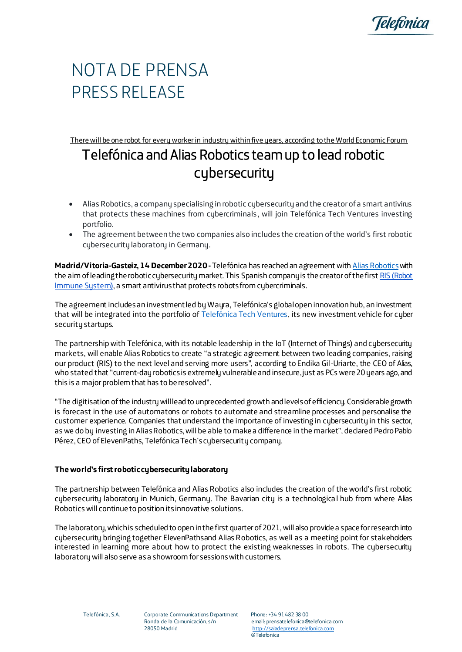

## NOTA DE PRENSA PRESS RELEASE

There will be one robot for every worker in industry within five years, according to the World Economic Forum

## Telefónica and Alias Robotics team up to lead robotic cybersecurity

- Alias Robotics, a company specialising in robotic cybersecurity and the creator of a smart antivirus that protects these machines from cybercriminals, will join Telefónica Tech Ventures investing portfolio.
- The agreement between the two companies also includes the creation of the world's first robotic cybersecurity laboratory in Germany.

**Madrid/Vitoria-Gasteiz, 14 December 2020 -**Telefónica has reached an agreement wit[h Alias Robotics](https://aliasrobotics.com/)with the aim of leading the robotic cybersecurity market. This Spanish company is the creator of the firs[t RIS \(Robot](https://aliasrobotics.com/ris.php)  [Immune System\),](https://aliasrobotics.com/ris.php) a smart antivirus that protects robots from cybercriminals.

The agreement includes an investment led by Wayra, Telefónica's global open innovation hub, an investment that will be integrated into the portfolio of [Telefónica Tech Ventures,](https://techventures.telefonica.com/es) its new investment vehicle for cyber security startups.

The partnership with Telefónica, with its notable leadership in the IoT (Internet of Things) and cybersecurity markets, will enable Alias Robotics to create "a strategic agreement between two leading companies, raising our product (RIS) to the next level and serving more users", according to Endika Gil-Uriarte, the CEO of Alias, who stated that "current-day robotics is extremely vulnerable and insecure, just as PCs were 20 years ago, and this is a major problem that has to be resolved".

"The digitisation of the industry will lead to unprecedented growth and levels of efficiency. Considerable growth is forecast in the use of automatons or robots to automate and streamline processes and personalise the customer experience. Companies that understand the importance of investing in cybersecurity in this sector, as we do by investing in Alias Robotics, will be able to make a difference in the market", declared Pedro Pablo Pérez, CEO of ElevenPaths, Telefónica Tech's cybersecurity company.

## **The world's first robotic cybersecurity laboratory**

The partnership between Telefónica and Alias Robotics also includes the creation of the world's first robotic cybersecurity laboratory in Munich, Germany. The Bavarian city is a technologica l hub from where Alias Robotics will continue to position its innovative solutions.

The laboratory, which is scheduled to open in the first quarter of 2021, will also provide a space for research into cybersecurity bringing together ElevenPathsand Alias Robotics, as well as a meeting point for stakeholders interested in learning more about how to protect the existing weaknesses in robots. The cybersecurity laboratory will also serve as a showroom for sessions with customers.

Telefónica, S.A. Corporate Communications Department Phone: +34 91 482 38 00